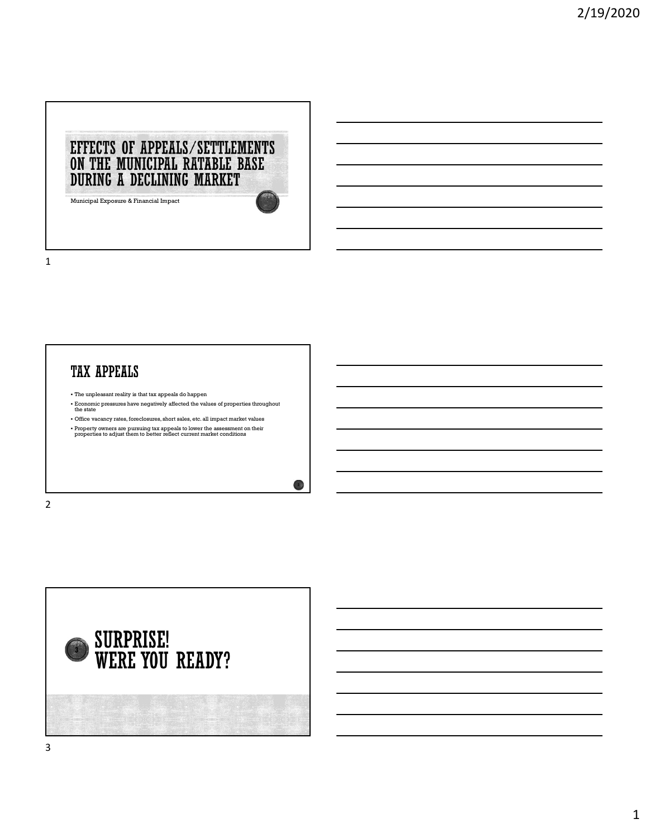

## **TAX APPEALS**

- The unpleasant reality is that tax appeals do happen
- Economic pressures have negatively affected the values of properties throughout the state

2

- Office vacancy rates, foreclosures, short sales, etc. all impact market values
- Property owners are pursuing tax appeals to lower the assessment on their properties to adjust them to better reflect current market conditions

2 and 2 and 2 and 2 and 2 and 2 and 2 and 2 and 2 and 2 and 2 and 2 and 2 and 2 and 2 and 2 and 2 and 2 and 2

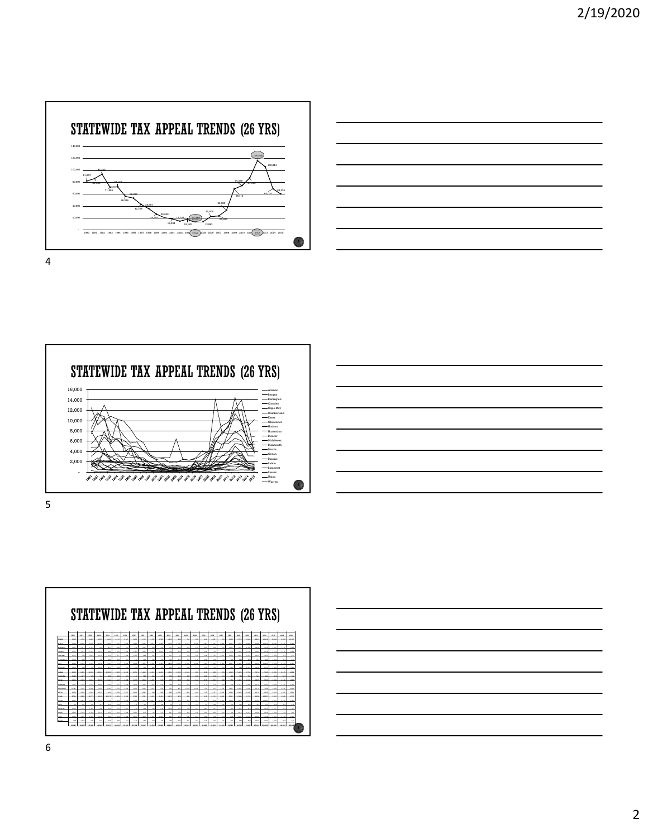









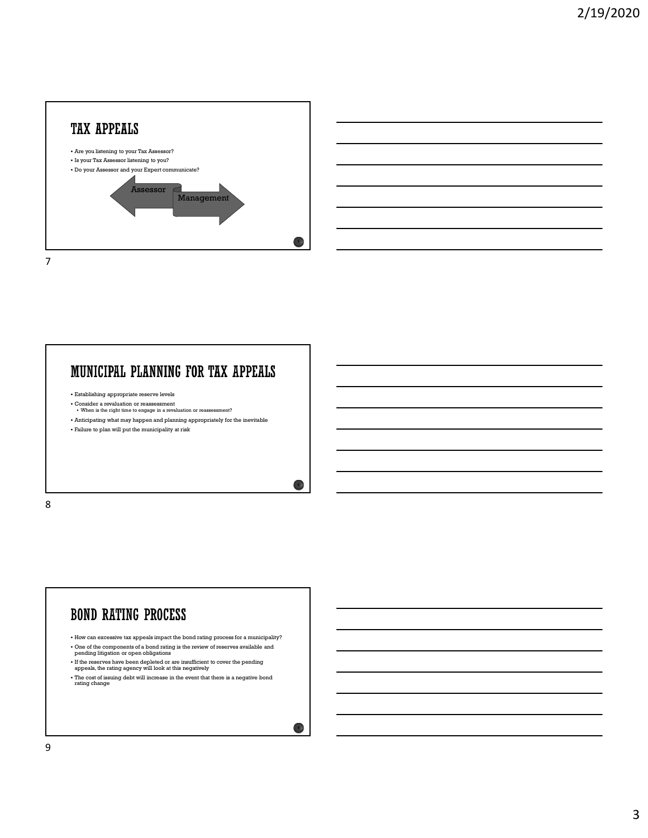



 $\bullet$  )

#### MUNICIPAL PLANNING FOR TAX APPEALS

- Establishing appropriate reserve levels
- Consider a revaluation or reassessment  $\bullet$  When is the right time to engage in a revaluation or reass
- Anticipating what may happen and planning appropriately for the inevitable
- Failure to plan will put the municipality at risk

8 and 2010 and 2010 and 2010 and 2010 and 2010 and 2010 and 2010 and 2010 and 2010 and 2010 and 2010 and 2010

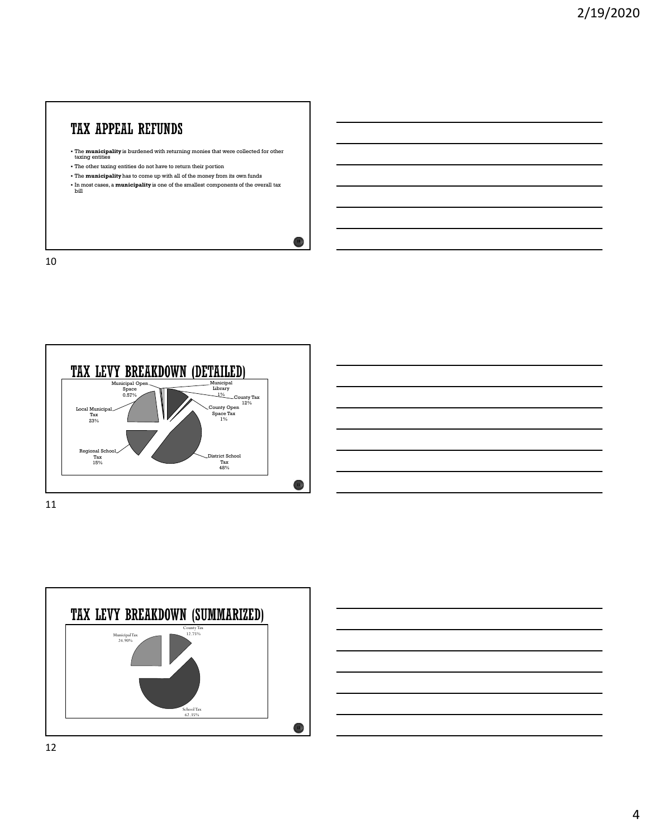# **TAX APPEAL REFUNDS**

- The **municipality** is burdened with returning monies that were collected for other taxing entities
- The other taxing entities do not have to return their portion
- The municipality has to come up with all of the money from its own funds
- In most cases, a **municipality** is one of the smallest components of the overall tax bill

10





 $10<sup>3</sup>$ 



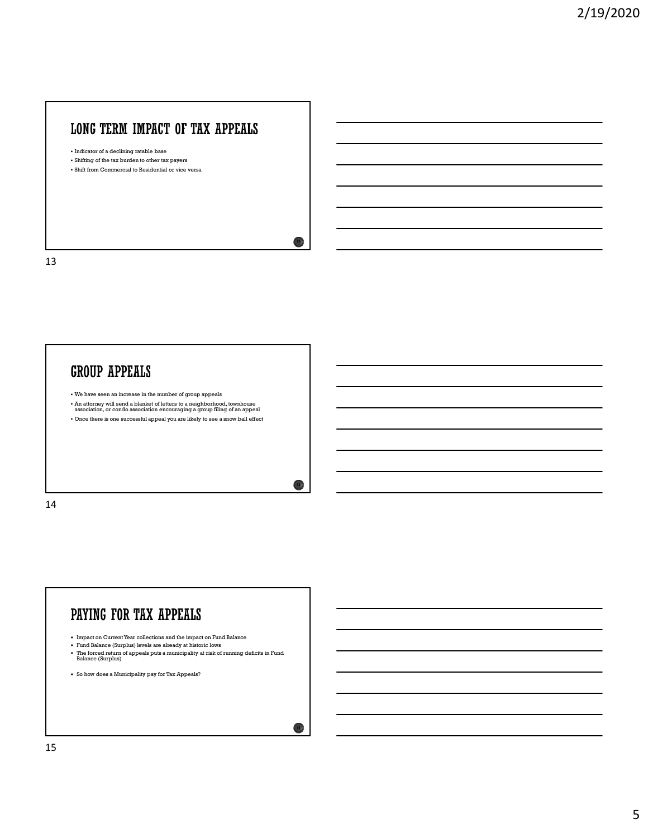# LONG TERM IMPACT OF TAX APPEALS

Indicator of a declining ratable base

- Shifting of the tax burden to other tax payers
- Shift from Commercial to Residential or vice versa

13

# **GROUP APPEALS**

- We have seen an increase in the number of group appeals
- An attorney will send a blanket of letters to a neighborhood, townhouse association, or condo association encouraging a group filing of an appeal
- Once there is one successful appeal you are likely to see a snow ball effect

14



 $13<sup>3</sup>$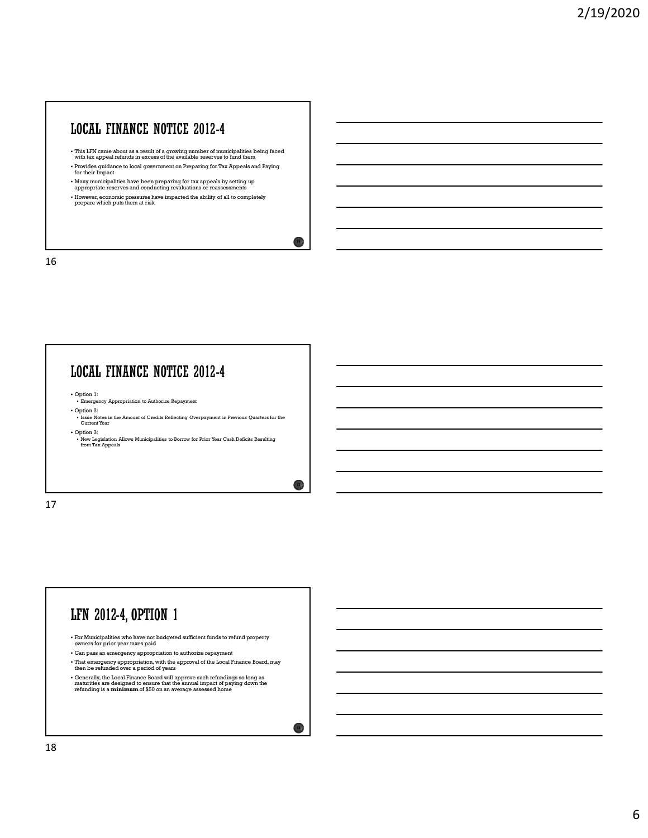# **LOCAL FINANCE NOTICE 2012-4**

- This LFN came about as a result of a growing number of municipalities being faced with tax appeal refunds in excess of the available reserves to fund them
- Provides guidance to local government on Preparing for Tax Appeals and Paying for their Impact

 $16<sub>1</sub>$ 

 $17)$ 

- Many municipalities have been preparing for tax appeals by setting up appropriate reserves and conducting revaluations or reassessments
- However, economic pressures have impacted the ability of all to completely prepare which puts them at risk

16

#### **LOCAL FINANCE NOTICE 2012-4**

- Option 1:<br>• Emergency Appropriation to Authorize Repayment
- Option 2: Issue Notes in the Amount of Credits Reflecting Overpayment in Previous Quarters for the Current Year
- Option 3: New Legislation Allows Municipalities to Borrow for Prior Year Cash Deficits Resulting from Tax Appeals

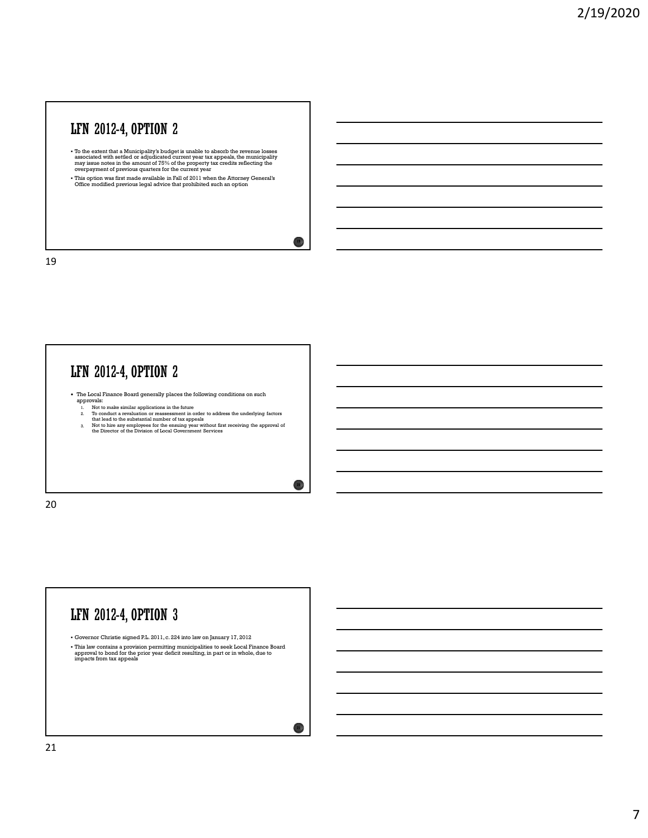# LFN 2012-4, OPTION 2

- To the extent that a Municipality's budget is unable to absorb the revenue losses<br>associated with settled or adjudicated current year tax appeals, the municipality<br>may issue notes in the amount of 75% of the property tax
- This option was first made available in Fall of 2011 when the Attorney General's Office modified previous legal advice that prohibited such an option

 $19<sup>3</sup>$ 

20  $\lambda$ 

19

# LFN 2012-4, OPTION 2

• The Local Finance Board generally places the following conditions on such approvals:<br>approvals: 1. Not to make similar applications in the future

- 
- 2. To conduct a revaluation or reassessment in order to address the underlying factors that lead to the substantial number of tax appeals<br>that lead to the substantial number of tax appeals
- 3. Not to hire any employees for the ensuing year without first receiving the approval of the Director of the Division of Local Government Services

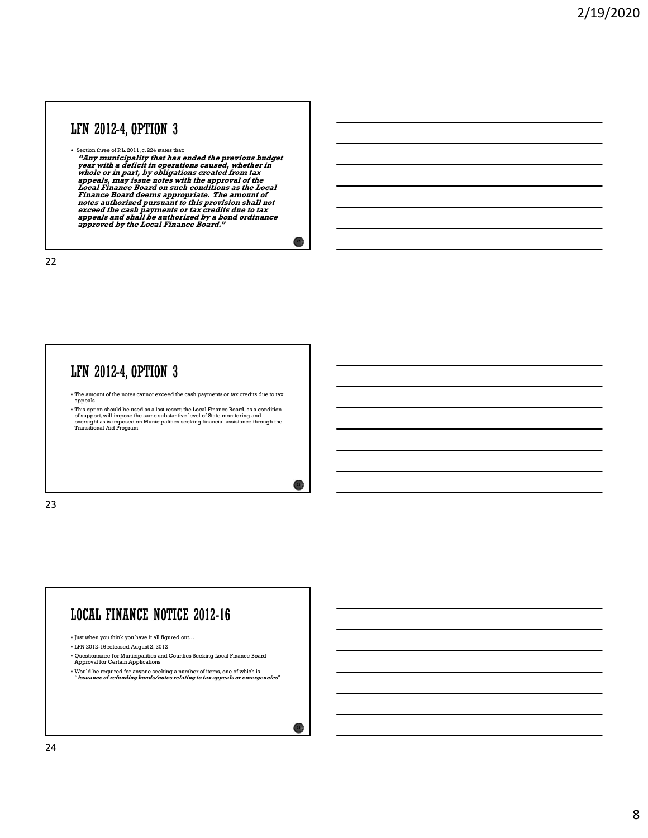## LFN 2012-4, OPTION 3

For the set of PL 2011, c.224 states that:<br>
"Any municipality that has ended the previous budget<br>
"Pear with a deficit in operations caused, whether in<br>
whole or in part, by obligations created from tax<br>
appeals, may issu notes authorized pursuant to this provision shall not<br>exceed the cash payments or tax credits due to tax<br>approved by the Local Finance Board."<br>approved by the Local Finance Board."

 $22)$ 

 $23 \text{ J}$ 

22

#### LFN 2012-4, OPTION 3

The amount of the notes cannot exceed the cash payments or tax credits due to tax appeals

• This option should be used as a last resort; the Local Finance Board, as a condition<br>of support, will impose the same substantive level of State monitoring and<br>or orsight as is imposed on Municipalities seeking financial

23

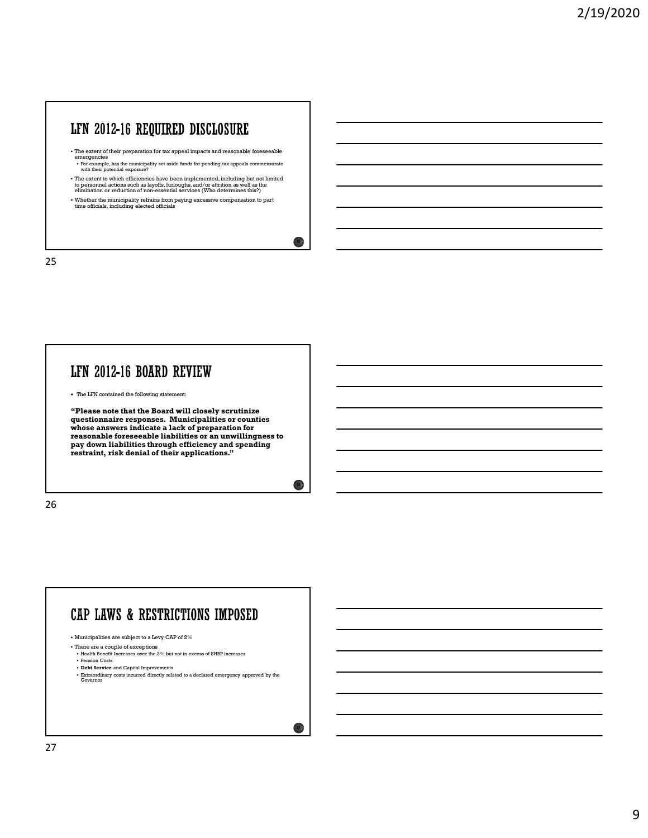#### LFN 2012-16 REQUIRED DISCLOSURE

- The extent of their preparation for tax appeal impacts and reasonable foreseeable
- emergencies For example, has the municipality set aside funds for pending tax appeals commensurate with their potential exposure?
- The extent to which efficiencies have been implemented, including but not limited<br>to personnel actions such as layoffs, furloughs, and/or attrition as well as the<br>elimination or reduction of non-essential services (Who d

 $25.1$ 

 $26\%$ 

 $27)$ 

Whether the municipality refrains from paying excessive compensation to part time officials, including elected officials

25 and 25 and 25 and 25 and 25 and 25 and 25 and 26 and 26 and 26 and 26 and 26 and 26 and 26 and 26 and 26 an

#### LFN 2012-16 BOARD REVIEW

The LFN contained the following statement:

"Please note that the Board will closely scrutinize questionnaire responses. Municipalities or counties whose answers indicate a lack of preparation for reasonable foreseeable liabilities or an unwillingness to pay down liabilities through efficiency and spending restraint, risk denial of their applications."

26 and the contract of the contract of the contract of the contract of the contract of the contract of the contract of the contract of the contract of the contract of the contract of the contract of the contract of the con



- There are a couple of exceptions Health Benefit Increases over the 2% but not in excess of SHBP increases Pension Costs
- Debt Service and Capital Improvements
- Extraordinary costs incurred directly related to a declared emergency approved by the Governor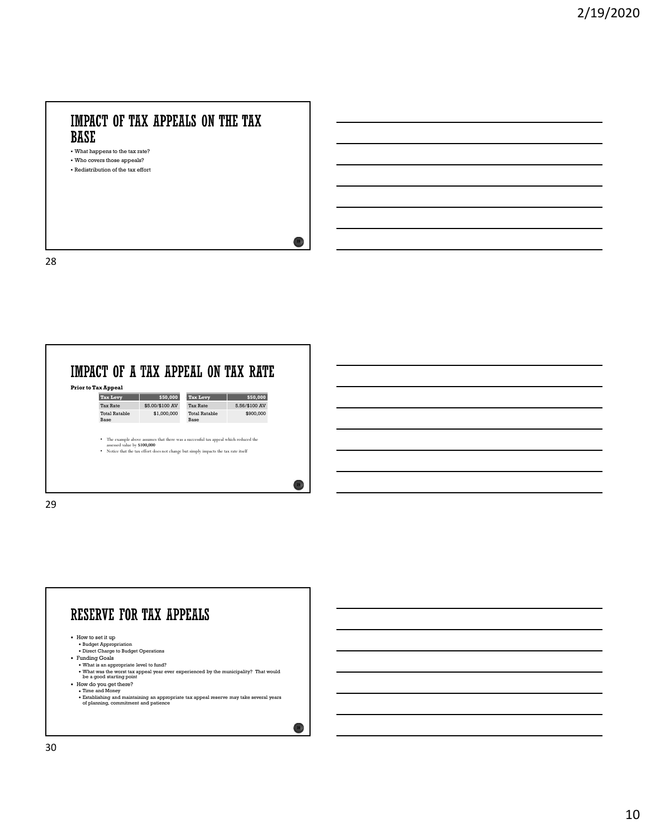# What happens to the tax rate?

28 a march 200 and 200 and 200 and 200 and 200 and 200 and 200 and 200 and 200 and 200 and 200 and 200 and 200

Who covers those appeals?

Redistribution of the tax effort



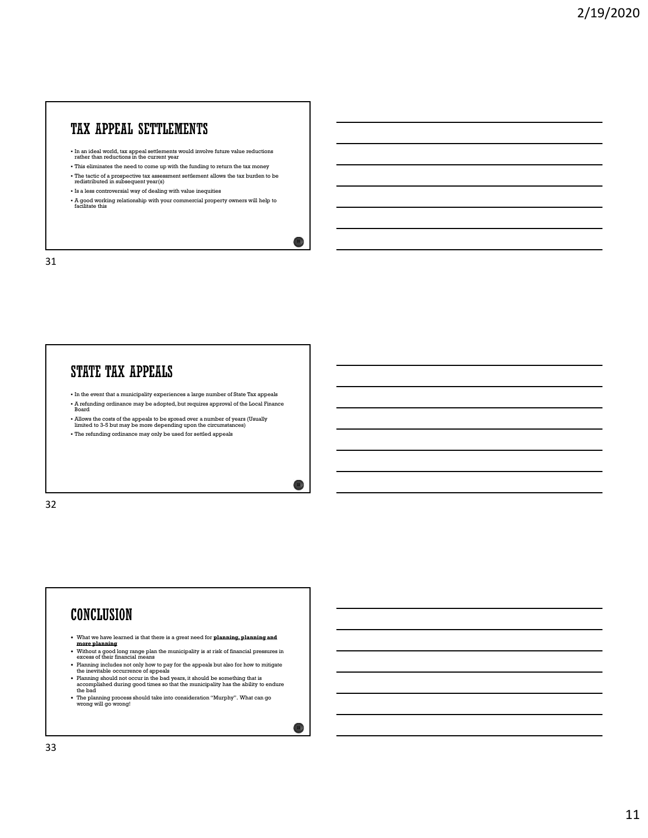## TAX APPEAL SETTLEMENTS

- In an ideal world, tax appeal settlements would involve future value reductions rather than reductions in the current year
- This eliminates the need to come up with the funding to return the tax money
- $\bullet$  The tactic of a prospective tax assessment settlement allows the tax burden to be redistributed in subsequent year(s)
- Is a less controversial way of dealing with value inequities
- A good working relationship with your commercial property owners will help to facilitate this

 $31$  )

 $32 \lambda$ 

 $\frac{33}{7}$ 

31

#### **STATE TAX APPEALS**

- $\bullet$  In the event that a municipality experiences a large number of State Tax appeals A refunding ordinance may be adopted, but requires approval of the Local Finance Board
- Allows the costs of the appeals to be spread over a number of years (Usually limited to 3-5 but may be more depending upon the circumstances)
- The refunding ordinance may only be used for settled appeals

32

#### **CONCLUSION**

- What we have learned is that there is a great need for planning, planning and
- **more planning**<br>• Without a good long range plan the municipality is at risk of financial pressures in<br>excess of their financial means Planning includes not only how to pay for the appeals but also for how to mitigate the inevitable occurrence of appeals
- 
- Planning should not occur in the bad years, it should be something that is accomplished during good times so that the municipality has the ability to endure the bad The planning process should take into consideration "Murphy". What can go wrong will go wrong!
-